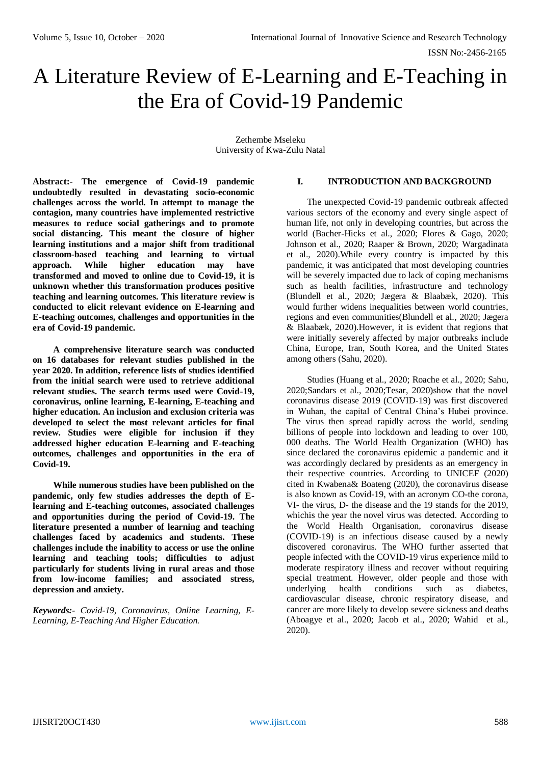# A Literature Review of E-Learning and E-Teaching in the Era of Covid-19 Pandemic

Zethembe Mseleku University of Kwa-Zulu Natal

**Abstract:- The emergence of Covid-19 pandemic undoubtedly resulted in devastating socio-economic challenges across the world. In attempt to manage the contagion, many countries have implemented restrictive measures to reduce social gatherings and to promote social distancing. This meant the closure of higher learning institutions and a major shift from traditional classroom-based teaching and learning to virtual approach. While higher education may have transformed and moved to online due to Covid-19, it is unknown whether this transformation produces positive teaching and learning outcomes. This literature review is conducted to elicit relevant evidence on E-learning and E-teaching outcomes, challenges and opportunities in the era of Covid-19 pandemic.** 

**A comprehensive literature search was conducted on 16 databases for relevant studies published in the year 2020. In addition, reference lists of studies identified from the initial search were used to retrieve additional relevant studies. The search terms used were Covid-19, coronavirus, online learning, E-learning, E-teaching and higher education. An inclusion and exclusion criteria was developed to select the most relevant articles for final review. Studies were eligible for inclusion if they addressed higher education E-learning and E-teaching outcomes, challenges and opportunities in the era of Covid-19.** 

**While numerous studies have been published on the pandemic, only few studies addresses the depth of Elearning and E-teaching outcomes, associated challenges and opportunities during the period of Covid-19. The literature presented a number of learning and teaching challenges faced by academics and students. These challenges include the inability to access or use the online learning and teaching tools; difficulties to adjust particularly for students living in rural areas and those from low-income families; and associated stress, depression and anxiety.**

*Keywords:- Covid-19, Coronavirus, Online Learning, E-Learning, E-Teaching And Higher Education.*

### **I. INTRODUCTION AND BACKGROUND**

The unexpected Covid-19 pandemic outbreak affected various sectors of the economy and every single aspect of human life, not only in developing countries, but across the world (Bacher-Hicks et al., 2020; Flores & Gago, 2020; Johnson et al., 2020; Raaper & Brown, 2020; Wargadinata et al., 2020).While every country is impacted by this pandemic, it was anticipated that most developing countries will be severely impacted due to lack of coping mechanisms such as health facilities, infrastructure and technology (Blundell et al., 2020; Jægera & Blaabæk, 2020). This would further widens inequalities between world countries, regions and even communities(Blundell et al., 2020; Jægera & Blaabæk, 2020).However, it is evident that regions that were initially severely affected by major outbreaks include China, Europe, Iran, South Korea, and the United States among others (Sahu, 2020).

Studies (Huang et al., 2020; Roache et al., 2020; Sahu, 2020;Sandars et al., 2020;Tesar, 2020)show that the novel coronavirus disease 2019 (COVID-19) was first discovered in Wuhan, the capital of Central China's Hubei province. The virus then spread rapidly across the world, sending billions of people into lockdown and leading to over 100, 000 deaths. The World Health Organization (WHO) has since declared the coronavirus epidemic a pandemic and it was accordingly declared by presidents as an emergency in their respective countries. According to UNICEF (2020) cited in Kwabena& Boateng (2020), the coronavirus disease is also known as Covid-19, with an acronym CO-the corona, VI- the virus, D- the disease and the 19 stands for the 2019, whichis the year the novel virus was detected. According to the World Health Organisation, coronavirus disease (COVID-19) is an infectious disease caused by a newly discovered coronavirus. The WHO further asserted that people infected with the COVID-19 virus experience mild to moderate respiratory illness and recover without requiring special treatment. However, older people and those with underlying health conditions such as diabetes, cardiovascular disease, chronic respiratory disease, and cancer are more likely to develop severe sickness and deaths (Aboagye et al., 2020; Jacob et al., 2020; Wahid et al., 2020).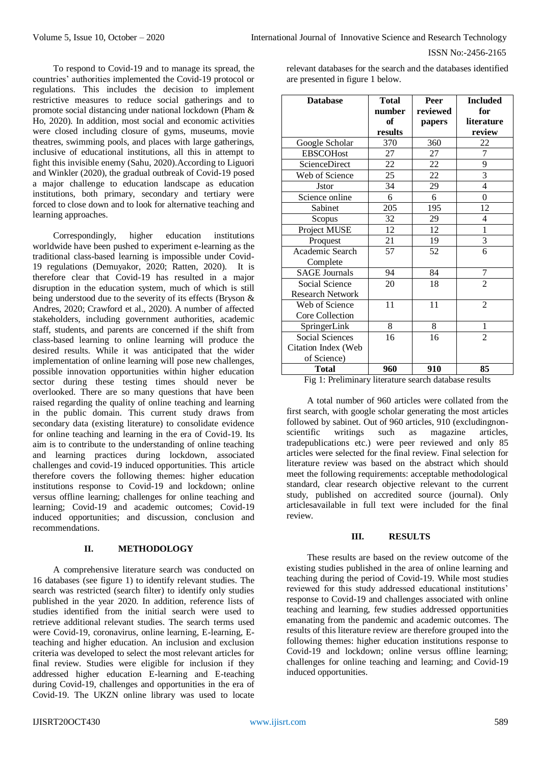To respond to Covid-19 and to manage its spread, the countries' authorities implemented the Covid-19 protocol or regulations. This includes the decision to implement restrictive measures to reduce social gatherings and to promote social distancing under national lockdown (Pham & Ho, 2020). In addition, most social and economic activities were closed including closure of gyms, museums, movie theatres, swimming pools, and places with large gatherings, inclusive of educational institutions, all this in attempt to fight this invisible enemy (Sahu, 2020).According to Liguori and Winkler (2020), the gradual outbreak of Covid-19 posed a major challenge to education landscape as education institutions, both primary, secondary and tertiary were forced to close down and to look for alternative teaching and learning approaches.

Correspondingly, higher education institutions worldwide have been pushed to experiment e-learning as the traditional class-based learning is impossible under Covid-19 regulations (Demuyakor, 2020; Ratten, 2020). It is therefore clear that Covid-19 has resulted in a major disruption in the education system, much of which is still being understood due to the severity of its effects (Bryson & Andres, 2020; Crawford et al., 2020). A number of affected stakeholders, including government authorities, academic staff, students, and parents are concerned if the shift from class-based learning to online learning will produce the desired results. While it was anticipated that the wider implementation of online learning will pose new challenges, possible innovation opportunities within higher education sector during these testing times should never be overlooked. There are so many questions that have been raised regarding the quality of online teaching and learning in the public domain. This current study draws from secondary data (existing literature) to consolidate evidence for online teaching and learning in the era of Covid-19. Its aim is to contribute to the understanding of online teaching and learning practices during lockdown, associated challenges and covid-19 induced opportunities. This article therefore covers the following themes: higher education institutions response to Covid-19 and lockdown; online versus offline learning; challenges for online teaching and learning; Covid-19 and academic outcomes; Covid-19 induced opportunities; and discussion, conclusion and recommendations.

#### **II. METHODOLOGY**

A comprehensive literature search was conducted on 16 databases (see figure 1) to identify relevant studies. The search was restricted (search filter) to identify only studies published in the year 2020. In addition, reference lists of studies identified from the initial search were used to retrieve additional relevant studies. The search terms used were Covid-19, coronavirus, online learning, E-learning, Eteaching and higher education. An inclusion and exclusion criteria was developed to select the most relevant articles for final review. Studies were eligible for inclusion if they addressed higher education E-learning and E-teaching during Covid-19, challenges and opportunities in the era of Covid-19. The [UKZN online library](https://library.ukzn.ac.za/databases-a-z/) was used to locate

relevant databases for the search and the databases identified are presented in figure 1 below.

| <b>Database</b>                                               | <b>Total</b><br>number<br>of<br>results | Peer<br>reviewed<br>papers | <b>Included</b><br>for<br>literature<br>review |
|---------------------------------------------------------------|-----------------------------------------|----------------------------|------------------------------------------------|
| Google Scholar                                                | 370                                     | 360                        | 22                                             |
| <b>EBSCOHost</b>                                              | 27                                      | 27                         | $\overline{7}$                                 |
| ScienceDirect                                                 | $\overline{22}$                         | 22                         | $\overline{9}$                                 |
| Web of Science                                                | 25                                      | 22                         | $\overline{3}$                                 |
| <b>J</b> stor                                                 | 34                                      | 29                         | $\overline{\mathbf{4}}$                        |
| Science online                                                | 6                                       | 6                          | $\boldsymbol{0}$                               |
| Sabinet                                                       | 205                                     | 195                        | 12                                             |
| Scopus                                                        | 32                                      | 29                         | $\overline{4}$                                 |
| Project MUSE                                                  | 12                                      | 12                         | $\mathbf{1}$                                   |
| Proquest                                                      | 21                                      | 19                         | $\overline{\mathbf{3}}$                        |
| Academic Search<br>Complete                                   | 57                                      | 52                         | 6                                              |
| <b>SAGE Journals</b>                                          | 94                                      | 84                         | 7                                              |
| Social Science<br><b>Research Network</b>                     | 20                                      | 18                         | $\overline{2}$                                 |
| Web of Science                                                | 11                                      | 11                         | $\overline{2}$                                 |
| Core Collection                                               |                                         |                            |                                                |
| SpringerLink                                                  | 8                                       | 8                          | 1                                              |
| Social Sciences                                               | 16                                      | 16                         | $\overline{2}$                                 |
| Citation Index (Web<br>of Science)                            |                                         |                            |                                                |
| <b>Total</b><br>$\mathbf{A}$ and $\mathbf{B}$<br>$\mathbf{r}$ | 960<br>$\mathbf{u}$                     | 910<br>.                   | 85<br>$\mathbf{L}$                             |

Fig 1: Preliminary literature search database results

A total number of 960 articles were collated from the first search, with google scholar generating the most articles followed by sabinet. Out of 960 articles, 910 (excludingnonscientific writings such as magazine articles, tradepublications etc.) were peer reviewed and only 85 articles were selected for the final review. Final selection for literature review was based on the abstract which should meet the following requirements: acceptable methodological standard, clear research objective relevant to the current study, published on accredited source (journal). Only articlesavailable in full text were included for the final review.

#### **III. RESULTS**

These results are based on the review outcome of the existing studies published in the area of online learning and teaching during the period of Covid-19. While most studies reviewed for this study addressed educational institutions' response to Covid-19 and challenges associated with online teaching and learning, few studies addressed opportunities emanating from the pandemic and academic outcomes. The results of this literature review are therefore grouped into the following themes: higher education institutions response to Covid-19 and lockdown; online versus offline learning; challenges for online teaching and learning; and Covid-19 induced opportunities.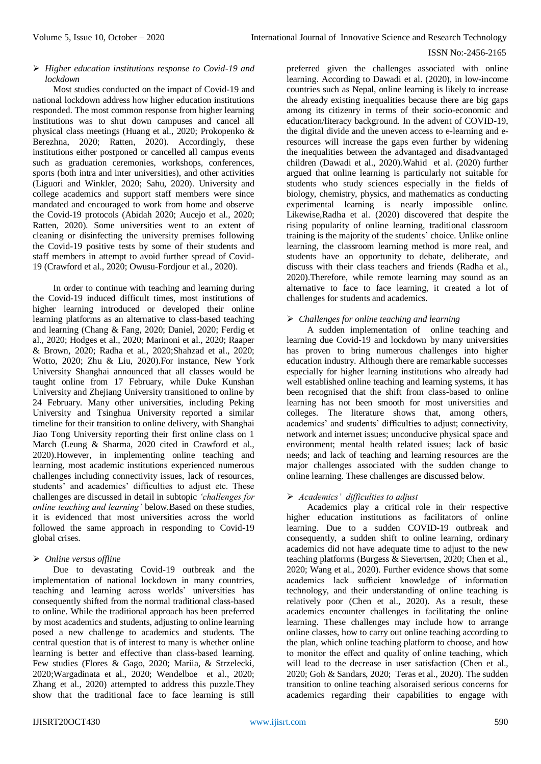#### *Higher education institutions response to Covid-19 and lockdown*

Most studies conducted on the impact of Covid-19 and national lockdown address how higher education institutions responded. The most common response from higher learning institutions was to shut down campuses and cancel all physical class meetings (Huang et al., 2020; Prokopenko & Berezhna, 2020; Ratten, 2020). Accordingly, these institutions either postponed or cancelled all campus events such as graduation ceremonies, workshops, conferences, sports (both intra and inter universities), and other activities (Liguori and Winkler, 2020; Sahu, 2020). University and college academics and support staff members were since mandated and encouraged to work from home and observe the Covid-19 protocols (Abidah 2020; Aucejo et al., 2020; Ratten, 2020). Some universities went to an extent of cleaning or disinfecting the university premises following the Covid-19 positive tests by some of their students and staff members in attempt to avoid further spread of Covid-19 (Crawford et al., 2020; Owusu-Fordjour et al., 2020).

In order to continue with teaching and learning during the Covid-19 induced difficult times, most institutions of higher learning introduced or developed their online learning platforms as an alternative to class-based teaching and learning (Chang & Fang, 2020; Daniel, 2020; Ferdig et al., 2020; Hodges et al., 2020; Marinoni et al., 2020; Raaper & Brown, 2020; Radha et al., 2020;Shahzad et al., 2020; Wotto, 2020; Zhu & Liu, 2020).For instance, New York University Shanghai announced that all classes would be taught online from 17 February, while Duke Kunshan University and Zhejiang University transitioned to online by 24 February. Many other universities, including Peking University and Tsinghua University reported a similar timeline for their transition to online delivery, with Shanghai Jiao Tong University reporting their first online class on 1 March (Leung & Sharma, 2020 cited in Crawford et al., 2020).However, in implementing online teaching and learning, most academic institutions experienced numerous challenges including connectivity issues, lack of resources, students' and academics' difficulties to adjust etc. These challenges are discussed in detail in subtopic *'challenges for online teaching and learning'* below.Based on these studies, it is evidenced that most universities across the world followed the same approach in responding to Covid-19 global crises.

# *Online versus offline*

Due to devastating Covid-19 outbreak and the implementation of national lockdown in many countries, teaching and learning across worlds' universities has consequently shifted from the normal traditional class-based to online. While the traditional approach has been preferred by most academics and students, adjusting to online learning posed a new challenge to academics and students. The central question that is of interest to many is whether online learning is better and effective than class-based learning. Few studies (Flores & Gago, 2020; Mariia, & Strzelecki, 2020;Wargadinata et al., 2020; Wendelboe et al., 2020; Zhang et al., 2020) attempted to address this puzzle.They show that the traditional face to face learning is still

preferred given the challenges associated with online learning. According to Dawadi et al. (2020), in low-income countries such as Nepal, online learning is likely to increase the already existing inequalities because there are big gaps among its citizenry in terms of their socio-economic and education/literacy background. In the advent of COVID-19, the digital divide and the uneven access to e-learning and eresources will increase the gaps even further by widening the inequalities between the advantaged and disadvantaged children (Dawadi et al., 2020).Wahid et al. (2020) further argued that online learning is particularly not suitable for students who study sciences especially in the fields of biology, chemistry, physics, and mathematics as conducting experimental learning is nearly impossible online. Likewise,Radha et al. (2020) discovered that despite the rising popularity of online learning, traditional classroom training is the majority of the students' choice. Unlike online learning, the classroom learning method is more real, and students have an opportunity to debate, deliberate, and discuss with their class teachers and friends (Radha et al., 2020).Therefore, while remote learning may sound as an alternative to face to face learning, it created a lot of challenges for students and academics.

# *Challenges for online teaching and learning*

A sudden implementation of online teaching and learning due Covid-19 and lockdown by many universities has proven to bring numerous challenges into higher education industry. Although there are remarkable successes especially for higher learning institutions who already had well established online teaching and learning systems, it has been recognised that the shift from class-based to online learning has not been smooth for most universities and colleges. The literature shows that, among others, academics' and students' difficulties to adjust; connectivity, network and internet issues; unconducive physical space and environment; mental health related issues; lack of basic needs; and lack of teaching and learning resources are the major challenges associated with the sudden change to online learning. These challenges are discussed below.

# *Academics' difficulties to adjust*

Academics play a critical role in their respective higher education institutions as facilitators of online learning. Due to a sudden COVID-19 outbreak and consequently, a sudden shift to online learning, ordinary academics did not have adequate time to adjust to the new teaching platforms (Burgess & Sievertsen, 2020; Chen et al., 2020; Wang et al., 2020). Further evidence shows that some academics lack sufficient knowledge of information technology, and their understanding of online teaching is relatively poor (Chen et al., 2020). As a result, these academics encounter challenges in facilitating the online learning. These challenges may include how to arrange online classes, how to carry out online teaching according to the plan, which online teaching platform to choose, and how to monitor the effect and quality of online teaching, which will lead to the decrease in user satisfaction (Chen et al., 2020; Goh & Sandars, 2020; Teras et al., 2020). The sudden transition to online teaching alsoraised serious concerns for academics regarding their capabilities to engage with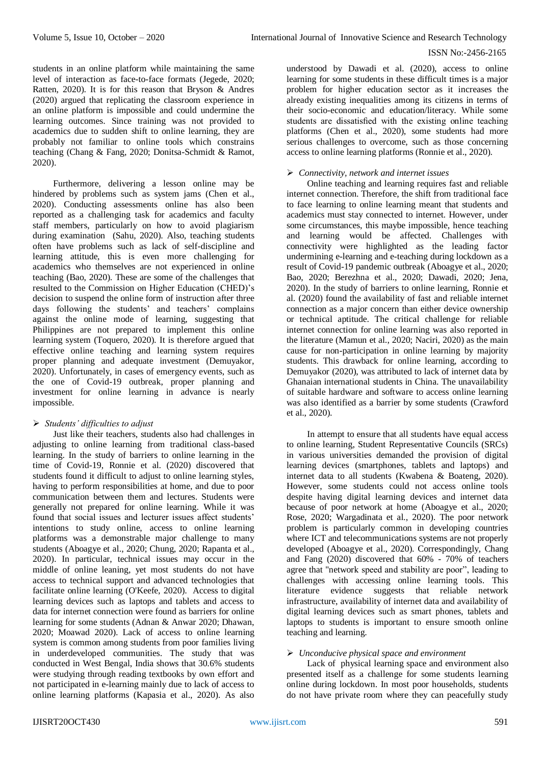students in an online platform while maintaining the same level of interaction as face-to-face formats (Jegede, 2020; Ratten, 2020). It is for this reason that Bryson & Andres (2020) argued that replicating the classroom experience in an online platform is impossible and could undermine the learning outcomes. Since training was not provided to academics due to sudden shift to online learning, they are probably not familiar to online tools which constrains teaching (Chang & Fang, 2020; Donitsa-Schmidt & Ramot, 2020).

Furthermore, delivering a lesson online may be hindered by problems such as system jams (Chen et al., 2020). Conducting assessments online has also been reported as a challenging task for academics and faculty staff members, particularly on how to avoid plagiarism during examination (Sahu, 2020). Also, teaching students often have problems such as lack of self-discipline and learning attitude, this is even more challenging for academics who themselves are not experienced in online teaching (Bao, 2020). These are some of the challenges that resulted to the Commission on Higher Education (CHED)'s decision to suspend the online form of instruction after three days following the students' and teachers' complains against the online mode of learning, suggesting that Philippines are not prepared to implement this online learning system (Toquero, 2020). It is therefore argued that effective online teaching and learning system requires proper planning and adequate investment (Demuyakor, 2020). Unfortunately, in cases of emergency events, such as the one of Covid-19 outbreak, proper planning and investment for online learning in advance is nearly impossible.

# *Students' difficulties to adjust*

Just like their teachers, students also had challenges in adjusting to online learning from traditional class-based learning. In the study of barriers to online learning in the time of Covid-19, Ronnie et al. (2020) discovered that students found it difficult to adjust to online learning styles, having to perform responsibilities at home, and due to poor communication between them and lectures. Students were generally not prepared for online learning. While it was found that social issues and lecturer issues affect students' intentions to study online, access to online learning platforms was a demonstrable major challenge to many students (Aboagye et al., 2020; Chung, 2020; Rapanta et al., 2020). In particular, technical issues may occur in the middle of online leaning, yet most students do not have access to technical support and advanced technologies that facilitate online learning (O'Keefe, 2020). Access to digital learning devices such as laptops and tablets and access to data for internet connection were found as barriers for online learning for some students (Adnan & Anwar 2020; Dhawan, 2020; Moawad 2020). Lack of access to online learning system is common among students from poor families living in underdeveloped communities. The study that was conducted in West Bengal, India shows that 30.6% students were studying through reading textbooks by own effort and not participated in e-learning mainly due to lack of access to online learning platforms (Kapasia et al., 2020). As also

understood by Dawadi et al. (2020), access to online learning for some students in these difficult times is a major problem for higher education sector as it increases the already existing inequalities among its citizens in terms of their socio-economic and education/literacy. While some students are dissatisfied with the existing online teaching platforms (Chen et al., 2020), some students had more serious challenges to overcome, such as those concerning access to online learning platforms (Ronnie et al., 2020).

### *Connectivity, network and internet issues*

Online teaching and learning requires fast and reliable internet connection. Therefore, the shift from traditional face to face learning to online learning meant that students and academics must stay connected to internet. However, under some circumstances, this maybe impossible, hence teaching and learning would be affected. Challenges with connectivity were highlighted as the leading factor undermining e-learning and e-teaching during lockdown as a result of Covid-19 pandemic outbreak (Aboagye et al., 2020; Bao, 2020; Berezhna et al., 2020; Dawadi, 2020; Jena, 2020). In the study of barriers to online learning, Ronnie et al. (2020) found the availability of fast and reliable internet connection as a major concern than either device ownership or technical aptitude. The critical challenge for reliable internet connection for online learning was also reported in the literature (Mamun et al., 2020; Naciri, 2020) as the main cause for non-participation in online learning by majority students. This drawback for online learning, according to Demuyakor (2020), was attributed to lack of internet data by Ghanaian international students in China. The unavailability of suitable hardware and software to access online learning was also identified as a barrier by some students (Crawford et al., 2020).

In attempt to ensure that all students have equal access to online learning, Student Representative Councils (SRCs) in various universities demanded the provision of digital learning devices (smartphones, tablets and laptops) and internet data to all students (Kwabena & Boateng, 2020). However, some students could not access online tools despite having digital learning devices and internet data because of poor network at home (Aboagye et al., 2020; Rose, 2020; Wargadinata et al., 2020). The poor network problem is particularly common in developing countries where ICT and telecommunications systems are not properly developed (Aboagye et al., 2020). Correspondingly, Chang and Fang (2020) discovered that 60% - 70% of teachers agree that "network speed and stability are poor", leading to challenges with accessing online learning tools. This literature evidence suggests that reliable network infrastructure, availability of internet data and availability of digital learning devices such as smart phones, tablets and laptops to students is important to ensure smooth online teaching and learning.

#### *Unconducive physical space and environment*

Lack of physical learning space and environment also presented itself as a challenge for some students learning online during lockdown. In most poor households, students do not have private room where they can peacefully study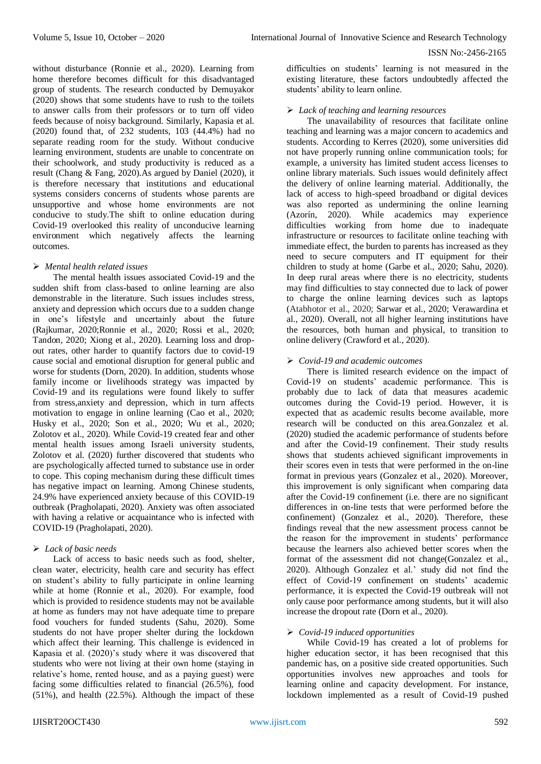without disturbance (Ronnie et al., 2020). Learning from home therefore becomes difficult for this disadvantaged group of students. The research conducted by Demuyakor (2020) shows that some students have to rush to the toilets to answer calls from their professors or to turn off video feeds because of noisy background. Similarly, Kapasia et al. (2020) found that, of 232 students, 103 (44.4%) had no separate reading room for the study. Without conducive learning environment, students are unable to concentrate on their schoolwork, and study productivity is reduced as a result (Chang & Fang, 2020).As argued by Daniel (2020), it is therefore necessary that institutions and educational systems considers concerns of students whose parents are unsupportive and whose home environments are not conducive to study.The shift to online education during Covid-19 overlooked this reality of unconducive learning environment which negatively affects the learning outcomes.

## *Mental health related issues*

The mental health issues associated Covid-19 and the sudden shift from class-based to online learning are also demonstrable in the literature. Such issues includes stress, anxiety and depression which occurs due to a sudden change in one's lifestyle and uncertainly about the future (Rajkumar, 2020;Ronnie et al., 2020; Rossi et al., 2020; Tandon, 2020; Xiong et al., 2020). Learning loss and dropout rates, other harder to quantify factors due to covid-19 cause social and emotional disruption for general public and worse for students (Dorn, 2020). In addition, students whose family income or livelihoods strategy was impacted by Covid-19 and its regulations were found likely to suffer from stress,anxiety and depression, which in turn affects motivation to engage in online learning (Cao et al., 2020; Husky et al., 2020; Son et al., 2020; Wu et al., 2020; Zolotov et al., 2020). While Covid-19 created fear and other mental health issues among Israeli university students, Zolotov et al. (2020) further discovered that students who are psychologically affected turned to substance use in order to cope. This coping mechanism during these difficult times has negative impact on learning. Among Chinese students, 24.9% have experienced anxiety because of this COVID-19 outbreak (Pragholapati, 2020). Anxiety was often associated with having a relative or acquaintance who is infected with COVID-19 (Pragholapati, 2020).

#### *Lack of basic needs*

Lack of access to basic needs such as food, shelter, clean water, electricity, health care and security has effect on student's ability to fully participate in online learning while at home (Ronnie et al., 2020). For example, food which is provided to residence students may not be available at home as funders may not have adequate time to prepare food vouchers for funded students (Sahu, 2020). Some students do not have proper shelter during the lockdown which affect their learning. This challenge is evidenced in Kapasia et al. (2020)'s study where it was discovered that students who were not living at their own home (staying in relative's home, rented house, and as a paying guest) were facing some difficulties related to financial (26.5%), food (51%), and health (22.5%). Although the impact of these

difficulties on students' learning is not measured in the existing literature, these factors undoubtedly affected the students' ability to learn online.

## *Lack of teaching and learning resources*

The unavailability of resources that facilitate online teaching and learning was a major concern to academics and students. According to Kerres (2020), some universities did not have properly running online communication tools; for example, a university has limited student access licenses to online library materials. Such issues would definitely affect the delivery of online learning material. Additionally, the lack of access to high-speed broadband or digital devices was also reported as undermining the online learning (Azorín, 2020). While academics may experience difficulties working from home due to inadequate infrastructure or resources to facilitate online teaching with immediate effect, the burden to parents has increased as they need to secure computers and IT equipment for their children to study at home (Garbe et al., 2020; Sahu, 2020). In deep rural areas where there is no electricity, students may find difficulties to stay connected due to lack of power to charge the online learning devices such as laptops (Atabhotor et al., 2020; Sarwar et al., 2020; Verawardina et al., 2020). Overall, not all higher learning institutions have the resources, both human and physical, to transition to online delivery (Crawford et al., 2020).

## *Covid-19 and academic outcomes*

There is limited research evidence on the impact of Covid-19 on students' academic performance. This is probably due to lack of data that measures academic outcomes during the Covid-19 period. However, it is expected that as academic results become available, more research will be conducted on this area.Gonzalez et al. (2020) studied the academic performance of students before and after the Covid-19 confinement. Their study results shows that students achieved significant improvements in their scores even in tests that were performed in the on-line format in previous years (Gonzalez et al., 2020). Moreover, this improvement is only significant when comparing data after the Covid-19 confinement (i.e. there are no significant differences in on-line tests that were performed before the confinement) (Gonzalez et al., 2020). Therefore, these findings reveal that the new assessment process cannot be the reason for the improvement in students' performance because the learners also achieved better scores when the format of the assessment did not change(Gonzalez et al., 2020). Although Gonzalez et al.' study did not find the effect of Covid-19 confinement on students' academic performance, it is expected the Covid-19 outbreak will not only cause poor performance among students, but it will also increase the dropout rate (Dorn et al., 2020).

#### *Covid-19 induced opportunities*

While Covid-19 has created a lot of problems for higher education sector, it has been recognised that this pandemic has, on a positive side created opportunities. Such opportunities involves new approaches and tools for learning online and capacity development. For instance, lockdown implemented as a result of Covid-19 pushed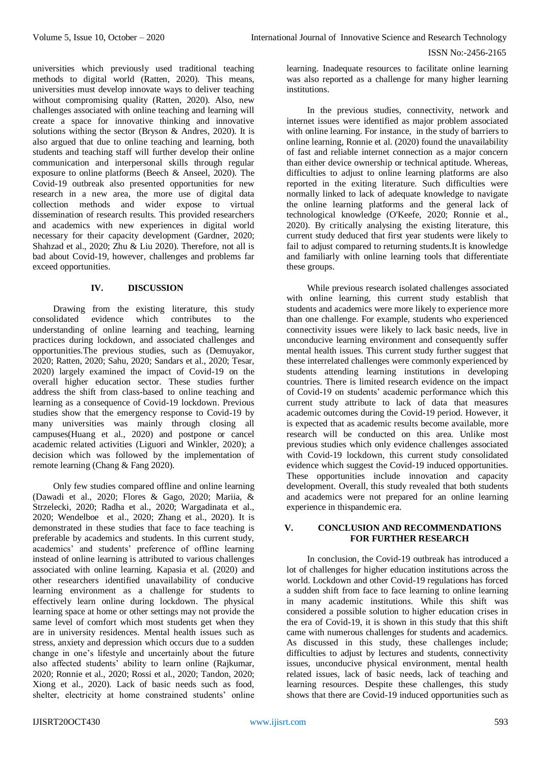universities which previously used traditional teaching methods to digital world (Ratten, 2020). This means, universities must develop innovate ways to deliver teaching without compromising quality (Ratten, 2020). Also, new challenges associated with online teaching and learning will create a space for innovative thinking and innovative solutions withing the sector (Bryson & Andres, 2020). It is also argued that due to online teaching and learning, both students and teaching staff will further develop their online communication and interpersonal skills through regular exposure to online platforms (Beech & Anseel, 2020). The Covid-19 outbreak also presented opportunities for new research in a new area, the more use of digital data collection methods and wider expose to virtual dissemination of research results. This provided researchers and academics with new experiences in digital world necessary for their capacity development (Gardner, 2020; Shahzad et al., 2020; Zhu & Liu 2020). Therefore, not all is bad about Covid-19, however, challenges and problems far exceed opportunities.

## **IV. DISCUSSION**

Drawing from the existing literature, this study consolidated evidence which contributes to the understanding of online learning and teaching, learning practices during lockdown, and associated challenges and opportunities.The previous studies, such as (Demuyakor, 2020; Ratten, 2020; Sahu, 2020; Sandars et al., 2020; Tesar, 2020) largely examined the impact of Covid-19 on the overall higher education sector. These studies further address the shift from class-based to online teaching and learning as a consequence of Covid-19 lockdown. Previous studies show that the emergency response to Covid-19 by many universities was mainly through closing all campuses(Huang et al., 2020) and postpone or cancel academic related activities (Liguori and Winkler, 2020); a decision which was followed by the implementation of remote learning (Chang & Fang 2020).

Only few studies compared offline and online learning (Dawadi et al., 2020; Flores & Gago, 2020; Mariia, & Strzelecki, 2020; Radha et al., 2020; Wargadinata et al., 2020; Wendelboe et al., 2020; Zhang et al., 2020). It is demonstrated in these studies that face to face teaching is preferable by academics and students. In this current study, academics' and students' preference of offline learning instead of online learning is attributed to various challenges associated with online learning. Kapasia et al. (2020) and other researchers identified unavailability of conducive learning environment as a challenge for students to effectively learn online during lockdown. The physical learning space at home or other settings may not provide the same level of comfort which most students get when they are in university residences. Mental health issues such as stress, anxiety and depression which occurs due to a sudden change in one's lifestyle and uncertainly about the future also affected students' ability to learn online (Rajkumar, 2020; Ronnie et al., 2020; Rossi et al., 2020; Tandon, 2020; Xiong et al., 2020). Lack of basic needs such as food, shelter, electricity at home constrained students' online learning. Inadequate resources to facilitate online learning was also reported as a challenge for many higher learning institutions.

In the previous studies, connectivity, network and internet issues were identified as major problem associated with online learning. For instance, in the study of barriers to online learning, Ronnie et al. (2020) found the unavailability of fast and reliable internet connection as a major concern than either device ownership or technical aptitude. Whereas, difficulties to adjust to online learning platforms are also reported in the exiting literature. Such difficulties were normally linked to lack of adequate knowledge to navigate the online learning platforms and the general lack of technological knowledge (O'Keefe, 2020; Ronnie et al., 2020). By critically analysing the existing literature, this current study deduced that first year students were likely to fail to adjust compared to returning students.It is knowledge and familiarly with online learning tools that differentiate these groups.

While previous research isolated challenges associated with online learning, this current study establish that students and academics were more likely to experience more than one challenge. For example, students who experienced connectivity issues were likely to lack basic needs, live in unconducive learning environment and consequently suffer mental health issues. This current study further suggest that these interrelated challenges were commonly experienced by students attending learning institutions in developing countries. There is limited research evidence on the impact of Covid-19 on students' academic performance which this current study attribute to lack of data that measures academic outcomes during the Covid-19 period. However, it is expected that as academic results become available, more research will be conducted on this area. Unlike most previous studies which only evidence challenges associated with Covid-19 lockdown, this current study consolidated evidence which suggest the Covid-19 induced opportunities. These opportunities include innovation and capacity development. Overall, this study revealed that both students and academics were not prepared for an online learning experience in thispandemic era.

### **V. CONCLUSION AND RECOMMENDATIONS FOR FURTHER RESEARCH**

In conclusion, the Covid-19 outbreak has introduced a lot of challenges for higher education institutions across the world. Lockdown and other Covid-19 regulations has forced a sudden shift from face to face learning to online learning in many academic institutions. While this shift was considered a possible solution to higher education crises in the era of Covid-19, it is shown in this study that this shift came with numerous challenges for students and academics. As discussed in this study, these challenges include; difficulties to adjust by lectures and students, connectivity issues, unconducive physical environment, mental health related issues, lack of basic needs, lack of teaching and learning resources. Despite these challenges, this study shows that there are Covid-19 induced opportunities such as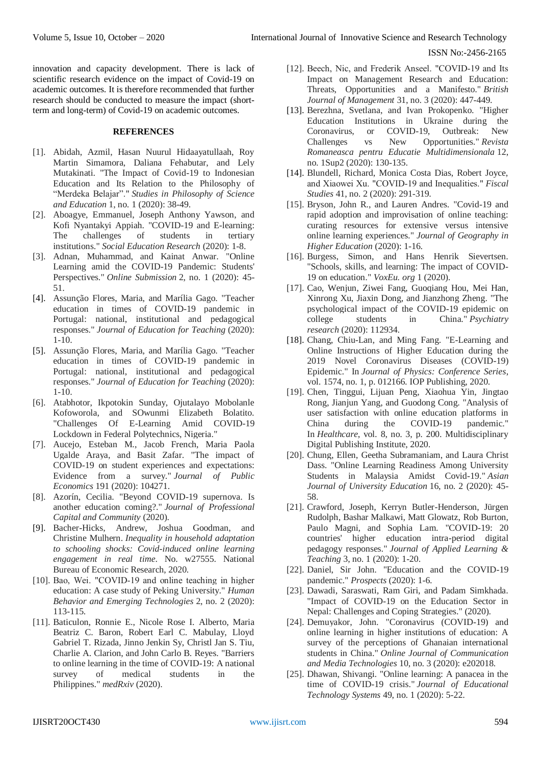innovation and capacity development. There is lack of scientific research evidence on the impact of Covid-19 on academic outcomes. It is therefore recommended that further research should be conducted to measure the impact (shortterm and long-term) of Covid-19 on academic outcomes.

#### **REFERENCES**

- [1]. Abidah, Azmil, Hasan Nuurul Hidaayatullaah, Roy Martin Simamora, Daliana Fehabutar, and Lely Mutakinati. "The Impact of Covid-19 to Indonesian Education and Its Relation to the Philosophy of "Merdeka Belajar"." *Studies in Philosophy of Science and Education* 1, no. 1 (2020): 38-49.
- [2]. Aboagye, Emmanuel, Joseph Anthony Yawson, and Kofi Nyantakyi Appiah. "COVID-19 and E-learning: The challenges of students in tertiary institutions." *Social Education Research* (2020): 1-8.
- [3]. Adnan, Muhammad, and Kainat Anwar. "Online Learning amid the COVID-19 Pandemic: Students' Perspectives." *Online Submission* 2, no. 1 (2020): 45- 51.
- [4]. Assunção Flores, Maria, and Marília Gago. "Teacher education in times of COVID-19 pandemic in Portugal: national, institutional and pedagogical responses." *Journal of Education for Teaching* (2020): 1-10.
- [5]. Assunção Flores, Maria, and Marília Gago. "Teacher education in times of COVID-19 pandemic in Portugal: national, institutional and pedagogical responses." *Journal of Education for Teaching* (2020): 1-10.
- [6]. Atabhotor, Ikpotokin Sunday, Ojutalayo Mobolanle Kofoworola, and SOwunmi Elizabeth Bolatito. "Challenges Of E-Learning Amid COVID-19 Lockdown in Federal Polytechnics, Nigeria."
- [7]. Aucejo, Esteban M., Jacob French, Maria Paola Ugalde Araya, and Basit Zafar. "The impact of COVID-19 on student experiences and expectations: Evidence from a survey." *Journal of Public Economics* 191 (2020): 104271.
- [8]. Azorín, Cecilia. "Beyond COVID-19 supernova. Is another education coming?." *Journal of Professional Capital and Community* (2020).
- [9]. Bacher-Hicks, Andrew, Joshua Goodman, and Christine Mulhern. *Inequality in household adaptation to schooling shocks: Covid-induced online learning engagement in real time*. No. w27555. National Bureau of Economic Research, 2020.
- [10]. Bao, Wei. "COVID‐19 and online teaching in higher education: A case study of Peking University." *Human Behavior and Emerging Technologies* 2, no. 2 (2020): 113-115.
- [11]. Baticulon, Ronnie E., Nicole Rose I. Alberto, Maria Beatriz C. Baron, Robert Earl C. Mabulay, Lloyd Gabriel T. Rizada, Jinno Jenkin Sy, Christl Jan S. Tiu, Charlie A. Clarion, and John Carlo B. Reyes. "Barriers to online learning in the time of COVID-19: A national survey of medical students in the Philippines." *medRxiv* (2020).
- [12]. Beech, Nic, and Frederik Anseel. "COVID-19 and Its Impact on Management Research and Education: Threats, Opportunities and a Manifesto." *British Journal of Management* 31, no. 3 (2020): 447-449.
- [13]. Berezhna, Svetlana, and Ivan Prokopenko. "Higher Education Institutions in Ukraine during the Coronavirus, or COVID-19, Outbreak: New Challenges vs New Opportunities." *Revista Romaneasca pentru Educatie Multidimensionala* 12, no. 1Sup2 (2020): 130-135.
- [14]. Blundell, Richard, Monica Costa Dias, Robert Joyce, and Xiaowei Xu. "COVID‐19 and Inequalities." *Fiscal Studies* 41, no. 2 (2020): 291-319.
- [15]. Bryson, John R., and Lauren Andres. "Covid-19 and rapid adoption and improvisation of online teaching: curating resources for extensive versus intensive online learning experiences." *Journal of Geography in Higher Education* (2020): 1-16.
- [16]. Burgess, Simon, and Hans Henrik Sievertsen. "Schools, skills, and learning: The impact of COVID-19 on education." *VoxEu. org* 1 (2020).
- [17]. Cao, Wenjun, Ziwei Fang, Guoqiang Hou, Mei Han, Xinrong Xu, Jiaxin Dong, and Jianzhong Zheng. "The psychological impact of the COVID-19 epidemic on college students in China." *Psychiatry research* (2020): 112934.
- [18]. Chang, Chiu-Lan, and Ming Fang. "E-Learning and Online Instructions of Higher Education during the 2019 Novel Coronavirus Diseases (COVID-19) Epidemic." In *Journal of Physics: Conference Series*, vol. 1574, no. 1, p. 012166. IOP Publishing, 2020.
- [19]. Chen, Tinggui, Lijuan Peng, Xiaohua Yin, Jingtao Rong, Jianjun Yang, and Guodong Cong. "Analysis of user satisfaction with online education platforms in China during the COVID-19 pandemic." In *Healthcare*, vol. 8, no. 3, p. 200. Multidisciplinary Digital Publishing Institute, 2020.
- [20]. Chung, Ellen, Geetha Subramaniam, and Laura Christ Dass. "Online Learning Readiness Among University Students in Malaysia Amidst Covid-19." *Asian Journal of University Education* 16, no. 2 (2020): 45- 58.
- [21]. Crawford, Joseph, Kerryn Butler-Henderson, Jürgen Rudolph, Bashar Malkawi, Matt Glowatz, Rob Burton, Paulo Magni, and Sophia Lam. "COVID-19: 20 countries' higher education intra-period digital pedagogy responses." *Journal of Applied Learning & Teaching* 3, no. 1 (2020): 1-20.
- [22]. Daniel, Sir John. "Education and the COVID-19 pandemic." *Prospects* (2020): 1-6.
- [23]. Dawadi, Saraswati, Ram Giri, and Padam Simkhada. "Impact of COVID-19 on the Education Sector in Nepal: Challenges and Coping Strategies." (2020).
- [24]. Demuyakor, John. "Coronavirus (COVID-19) and online learning in higher institutions of education: A survey of the perceptions of Ghanaian international students in China." *Online Journal of Communication and Media Technologies* 10, no. 3 (2020): e202018.
- [25]. Dhawan, Shivangi. "Online learning: A panacea in the time of COVID-19 crisis." *Journal of Educational Technology Systems* 49, no. 1 (2020): 5-22.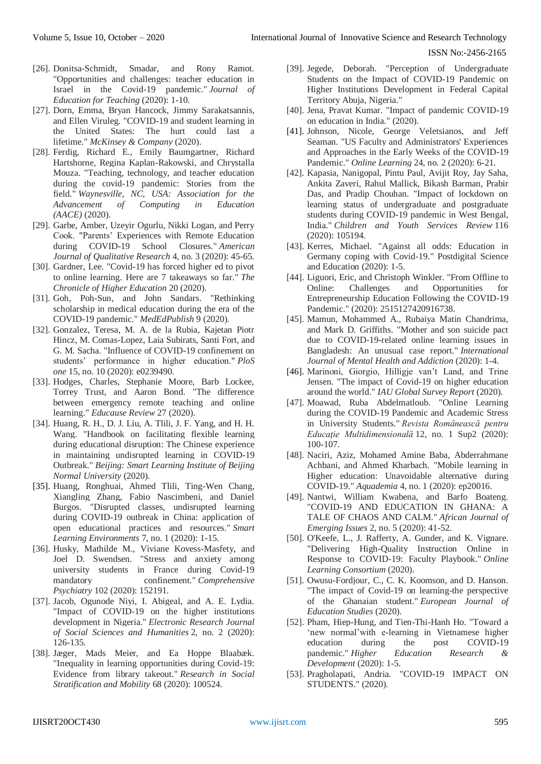- [26]. Donitsa-Schmidt, Smadar, and Rony Ramot. "Opportunities and challenges: teacher education in Israel in the Covid-19 pandemic." *Journal of Education for Teaching* (2020): 1-10.
- [27]. Dorn, Emma, Bryan Hancock, Jimmy Sarakatsannis, and Ellen Viruleg. "COVID-19 and student learning in the United States: The hurt could last a lifetime." *McKinsey & Company* (2020).
- [28]. Ferdig, Richard E., Emily Baumgartner, Richard Hartshorne, Regina Kaplan-Rakowski, and Chrystalla Mouza. "Teaching, technology, and teacher education during the covid-19 pandemic: Stories from the field." *Waynesville, NC, USA: Association for the Advancement of Computing in Education (AACE)* (2020).
- [29]. Garbe, Amber, Uzeyir Ogurlu, Nikki Logan, and Perry Cook. "Parents' Experiences with Remote Education during COVID-19 School Closures." *American Journal of Qualitative Research* 4, no. 3 (2020): 45-65.
- [30]. Gardner, Lee. "Covid-19 has forced higher ed to pivot to online learning. Here are 7 takeaways so far." *The Chronicle of Higher Education* 20 (2020).
- [31]. Goh, Poh-Sun, and John Sandars. "Rethinking scholarship in medical education during the era of the COVID-19 pandemic." *MedEdPublish* 9 (2020).
- [32]. Gonzalez, Teresa, M. A. de la Rubia, Kajetan Piotr Hincz, M. Comas-Lopez, Laia Subirats, Santi Fort, and G. M. Sacha. "Influence of COVID-19 confinement on students' performance in higher education." *PloS one* 15, no. 10 (2020): e0239490.
- [33]. Hodges, Charles, Stephanie Moore, Barb Lockee, Torrey Trust, and Aaron Bond. "The difference between emergency remote teaching and online learning." *Educause Review* 27 (2020).
- [34]. Huang, R. H., D. J. Liu, A. Tlili, J. F. Yang, and H. H. Wang. "Handbook on facilitating flexible learning during educational disruption: The Chinese experience in maintaining undisrupted learning in COVID-19 Outbreak." *Beijing: Smart Learning Institute of Beijing Normal University* (2020).
- [35]. Huang, Ronghuai, Ahmed Tlili, Ting-Wen Chang, Xiangling Zhang, Fabio Nascimbeni, and Daniel Burgos. "Disrupted classes, undisrupted learning during COVID-19 outbreak in China: application of open educational practices and resources." *Smart Learning Environments* 7, no. 1 (2020): 1-15.
- [36]. Husky, Mathilde M., Viviane Kovess-Masfety, and Joel D. Swendsen. "Stress and anxiety among university students in France during Covid-19 mandatory confinement." *Comprehensive Psychiatry* 102 (2020): 152191.
- [37]. Jacob, Ogunode Niyi, I. Abigeal, and A. E. Lydia. "Impact of COVID-19 on the higher institutions development in Nigeria." *Electronic Research Journal of Social Sciences and Humanities* 2, no. 2 (2020): 126-135.
- [38]. Jæger, Mads Meier, and Ea Hoppe Blaabæk. "Inequality in learning opportunities during Covid-19: Evidence from library takeout." *Research in Social Stratification and Mobility* 68 (2020): 100524.
- [39]. Jegede, Deborah. "Perception of Undergraduate Students on the Impact of COVID-19 Pandemic on Higher Institutions Development in Federal Capital Territory Abuja, Nigeria."
- [40]. Jena, Pravat Kumar. "Impact of pandemic COVID-19 on education in India." (2020).
- [41]. Johnson, Nicole, George Veletsianos, and Jeff Seaman. "US Faculty and Administrators' Experiences and Approaches in the Early Weeks of the COVID-19 Pandemic." *Online Learning* 24, no. 2 (2020): 6-21.
- [42]. Kapasia, Nanigopal, Pintu Paul, Avijit Roy, Jay Saha, Ankita Zaveri, Rahul Mallick, Bikash Barman, Prabir Das, and Pradip Chouhan. "Impact of lockdown on learning status of undergraduate and postgraduate students during COVID-19 pandemic in West Bengal, India." *Children and Youth Services Review* 116 (2020): 105194.
- [43]. Kerres, Michael. "Against all odds: Education in Germany coping with Covid-19." Postdigital Science and Education (2020): 1-5.
- [44]. Liguori, Eric, and Christoph Winkler. "From Offline to Online: Challenges and Opportunities for Entrepreneurship Education Following the COVID-19 Pandemic." (2020): 2515127420916738.
- [45]. Mamun, Mohammed A., Rubaiya Matin Chandrima, and Mark D. Griffiths. "Mother and son suicide pact due to COVID-19-related online learning issues in Bangladesh: An unusual case report." *International Journal of Mental Health and Addiction* (2020): 1-4.
- [46]. Marinoni, Giorgio, Hilligje van't Land, and Trine Jensen. "The impact of Covid-19 on higher education around the world." *IAU Global Survey Report* (2020).
- [47]. Moawad, Ruba Abdelmatloub. "Online Learning during the COVID-19 Pandemic and Academic Stress in University Students." *Revista Românească pentru Educaţie Multidimensională* 12, no. 1 Sup2 (2020): 100-107.
- [48]. Naciri, Aziz, Mohamed Amine Baba, Abderrahmane Achbani, and Ahmed Kharbach. "Mobile learning in Higher education: Unavoidable alternative during COVID-19." *Aquademia* 4, no. 1 (2020): ep20016.
- [49]. Nantwi, William Kwabena, and Barfo Boateng. "COVID-19 AND EDUCATION IN GHANA: A TALE OF CHAOS AND CALM." *African Journal of Emerging Issues* 2, no. 5 (2020): 41-52.
- [50]. O'Keefe, L., J. Rafferty, A. Gunder, and K. Vignare. "Delivering High-Quality Instruction Online in Response to COVID-19: Faculty Playbook." *Online Learning Consortium* (2020).
- [51]. Owusu-Fordjour, C., C. K. Koomson, and D. Hanson. "The impact of Covid-19 on learning-the perspective of the Ghanaian student." *European Journal of Education Studies* (2020).
- [52]. Pham, Hiep-Hung, and Tien-Thi-Hanh Ho. "Toward a 'new normal'with e-learning in Vietnamese higher education during the post COVID-19 pandemic." *Higher Education Research & Development* (2020): 1-5.
- [53]. Pragholapati, Andria. "COVID-19 IMPACT ON STUDENTS." (2020).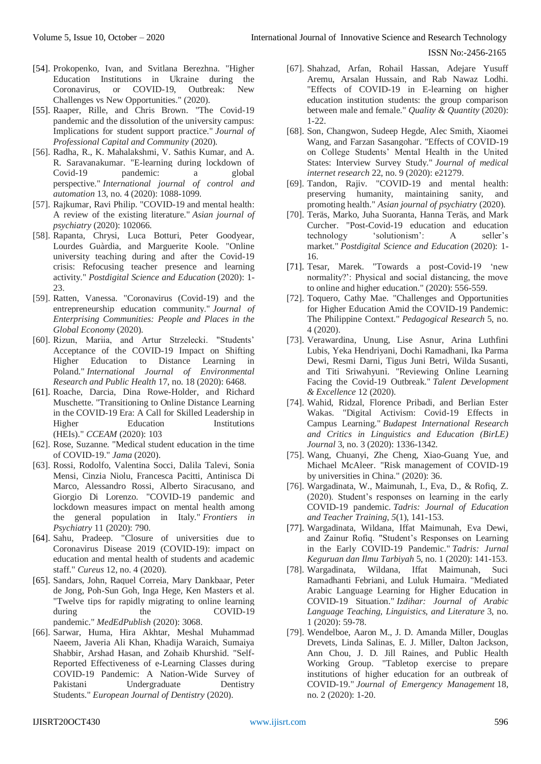- [54]. Prokopenko, Ivan, and Svitlana Berezhna. "Higher Education Institutions in Ukraine during the Coronavirus, or COVID-19, Outbreak: New Challenges vs New Opportunities." (2020).
- [55]. Raaper, Rille, and Chris Brown. "The Covid-19 pandemic and the dissolution of the university campus: Implications for student support practice." *Journal of Professional Capital and Community* (2020).
- [56]. Radha, R., K. Mahalakshmi, V. Sathis Kumar, and A. R. Saravanakumar. "E-learning during lockdown of Covid-19 pandemic: a global perspective." *International journal of control and automation* 13, no. 4 (2020): 1088-1099.
- [57]. Rajkumar, Ravi Philip. "COVID-19 and mental health: A review of the existing literature." *Asian journal of psychiatry* (2020): 102066.
- [58]. Rapanta, Chrysi, Luca Botturi, Peter Goodyear, Lourdes Guàrdia, and Marguerite Koole. "Online university teaching during and after the Covid-19 crisis: Refocusing teacher presence and learning activity." *Postdigital Science and Education* (2020): 1- 23.
- [59]. Ratten, Vanessa. "Coronavirus (Covid-19) and the entrepreneurship education community." *Journal of Enterprising Communities: People and Places in the Global Economy* (2020).
- [60]. Rizun, Mariia, and Artur Strzelecki. "Students' Acceptance of the COVID-19 Impact on Shifting Higher Education to Distance Learning in Poland." *International Journal of Environmental Research and Public Health* 17, no. 18 (2020): 6468.
- [61]. Roache, Darcia, Dina Rowe-Holder, and Richard Muschette. "Transitioning to Online Distance Learning in the COVID-19 Era: A Call for Skilled Leadership in Higher Education Institutions (HEIs)." *CCEAM* (2020): 103
- [62]. Rose, Suzanne. "Medical student education in the time of COVID-19." *Jama* (2020).
- [63]. Rossi, Rodolfo, Valentina Socci, Dalila Talevi, Sonia Mensi, Cinzia Niolu, Francesca Pacitti, Antinisca Di Marco, Alessandro Rossi, Alberto Siracusano, and Giorgio Di Lorenzo. "COVID-19 pandemic and lockdown measures impact on mental health among the general population in Italy." *Frontiers in Psychiatry* 11 (2020): 790.
- [64]. Sahu, Pradeep. "Closure of universities due to Coronavirus Disease 2019 (COVID-19): impact on education and mental health of students and academic staff." *Cureus* 12, no. 4 (2020).
- [65]. Sandars, John, Raquel Correia, Mary Dankbaar, Peter de Jong, Poh-Sun Goh, Inga Hege, Ken Masters et al. "Twelve tips for rapidly migrating to online learning during the COVID-19 pandemic." *MedEdPublish* (2020): 3068.
- [66]. Sarwar, Huma, Hira Akhtar, Meshal Muhammad Naeem, Javeria Ali Khan, Khadija Waraich, Sumaiya Shabbir, Arshad Hasan, and Zohaib Khurshid. "Self-Reported Effectiveness of e-Learning Classes during COVID-19 Pandemic: A Nation-Wide Survey of Pakistani Undergraduate Dentistry Students." *European Journal of Dentistry* (2020).
- [67]. Shahzad, Arfan, Rohail Hassan, Adejare Yusuff Aremu, Arsalan Hussain, and Rab Nawaz Lodhi. "Effects of COVID-19 in E-learning on higher education institution students: the group comparison between male and female." *Quality & Quantity* (2020): 1-22.
- [68]. Son, Changwon, Sudeep Hegde, Alec Smith, Xiaomei Wang, and Farzan Sasangohar. "Effects of COVID-19 on College Students' Mental Health in the United States: Interview Survey Study." *Journal of medical internet research* 22, no. 9 (2020): e21279.
- [69]. Tandon, Rajiv. "COVID-19 and mental health: preserving humanity, maintaining sanity, and promoting health." *Asian journal of psychiatry* (2020).
- [70]. Teräs, Marko, Juha Suoranta, Hanna Teräs, and Mark Curcher. "Post-Covid-19 education and education technology 'solutionism': A seller's market." *Postdigital Science and Education* (2020): 1- 16.
- [71]. Tesar, Marek. "Towards a post-Covid-19 'new normality?': Physical and social distancing, the move to online and higher education." (2020): 556-559.
- [72]. Toquero, Cathy Mae. "Challenges and Opportunities for Higher Education Amid the COVID-19 Pandemic: The Philippine Context." *Pedagogical Research* 5, no. 4 (2020).
- [73]. Verawardina, Unung, Lise Asnur, Arina Luthfini Lubis, Yeka Hendriyani, Dochi Ramadhani, Ika Parma Dewi, Resmi Darni, Tigus Juni Betri, Wilda Susanti, and Titi Sriwahyuni. "Reviewing Online Learning Facing the Covid-19 Outbreak." *Talent Development & Excellence* 12 (2020).
- [74]. Wahid, Ridzal, Florence Pribadi, and Berlian Ester Wakas. "Digital Activism: Covid-19 Effects in Campus Learning." *Budapest International Research and Critics in Linguistics and Education (BirLE) Journal* 3, no. 3 (2020): 1336-1342.
- [75]. Wang, Chuanyi, Zhe Cheng, Xiao-Guang Yue, and Michael McAleer. "Risk management of COVID-19 by universities in China." (2020): 36.
- [76]. Wargadinata, W., Maimunah, I., Eva, D., & Rofiq, Z. (2020). Student's responses on learning in the early COVID-19 pandemic. *Tadris: Journal of Education and Teacher Training*, *5*(1), 141-153.
- [77]. Wargadinata, Wildana, Iffat Maimunah, Eva Dewi, and Zainur Rofiq. "Student's Responses on Learning in the Early COVID-19 Pandemic." *Tadris: Jurnal Keguruan dan Ilmu Tarbiyah* 5, no. 1 (2020): 141-153.
- [78]. Wargadinata, Wildana, Iffat Maimunah, Suci Ramadhanti Febriani, and Luluk Humaira. "Mediated Arabic Language Learning for Higher Education in COVID-19 Situation." *Izdihar: Journal of Arabic Language Teaching, Linguistics, and Literature* 3, no. 1 (2020): 59-78.
- [79]. Wendelboe, Aaron M., J. D. Amanda Miller, Douglas Drevets, Linda Salinas, E. J. Miller, Dalton Jackson, Ann Chou, J. D. Jill Raines, and Public Health Working Group. "Tabletop exercise to prepare institutions of higher education for an outbreak of COVID-19." *Journal of Emergency Management* 18, no. 2 (2020): 1-20.